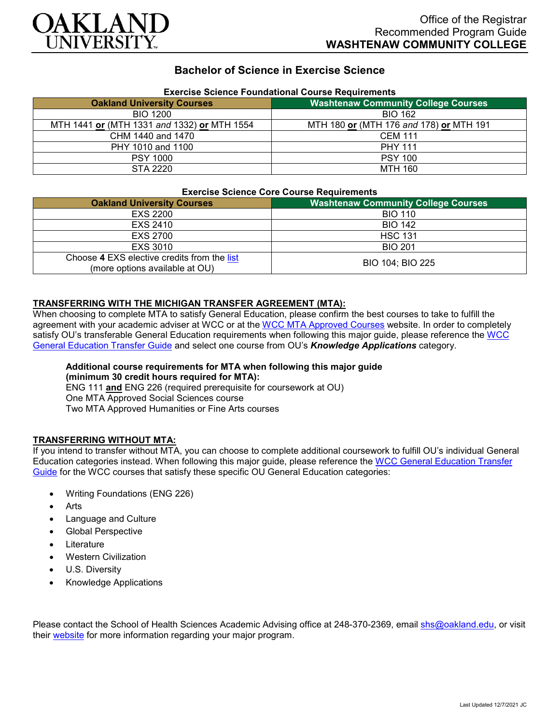

## **Bachelor of Science in Exercise Science**

| Exercise Science Foundational Course Requirements |                                            |
|---------------------------------------------------|--------------------------------------------|
| <b>Oakland University Courses</b>                 | <b>Washtenaw Community College Courses</b> |
| <b>BIO 1200</b>                                   | <b>BIO 162</b>                             |
| MTH 1441 or (MTH 1331 and 1332) or MTH 1554       | MTH 180 or (MTH 176 and 178) or MTH 191    |
| CHM 1440 and 1470                                 | <b>CEM 111</b>                             |
| PHY 1010 and 1100                                 | <b>PHY 111</b>                             |
| <b>PSY 1000</b>                                   | <b>PSY 100</b>                             |
| STA 2220                                          | <b>MTH 160</b>                             |

# **Exercise Science Foundational Course Requirements**

#### **Exercise Science Core Course Requirements**

| <b>Oakland University Courses</b>                                             | <b>Washtenaw Community College Courses</b> |
|-------------------------------------------------------------------------------|--------------------------------------------|
| EXS 2200                                                                      | <b>BIO 110</b>                             |
| EXS 2410                                                                      | <b>BIO 142</b>                             |
| EXS 2700                                                                      | <b>HSC 131</b>                             |
| EXS 3010                                                                      | <b>BIO 201</b>                             |
| Choose 4 EXS elective credits from the list<br>(more options available at OU) | BIO 104; BIO 225                           |

### **TRANSFERRING WITH THE MICHIGAN TRANSFER AGREEMENT (MTA):**

When choosing to complete MTA to satisfy General Education, please confirm the best courses to take to fulfill the agreement with your academic adviser at WCC or at the [WCC MTA Approved Courses](http://www.wccnet.edu/services/transferresources/mta/) website. In order to completely satisfy OU's transferable General Education requirements when following this major quide, please reference the WCC [General Education Transfer Guide](https://www.oakland.edu/Assets/Oakland/program-guides/washtenaw-community-college/university-general-education-requirements/Washtenaw%20Gen%20Ed.pdf) and select one course from OU's *Knowledge Applications* category.

#### **Additional course requirements for MTA when following this major guide (minimum 30 credit hours required for MTA):** ENG 111 **and** ENG 226 (required prerequisite for coursework at OU) One MTA Approved Social Sciences course

Two MTA Approved Humanities or Fine Arts courses

### **TRANSFERRING WITHOUT MTA:**

If you intend to transfer without MTA, you can choose to complete additional coursework to fulfill OU's individual General Education categories instead. When following this major guide, please reference the [WCC General Education Transfer](https://www.oakland.edu/Assets/Oakland/program-guides/washtenaw-community-college/university-general-education-requirements/Washtenaw%20Gen%20Ed.pdf)  [Guide](https://www.oakland.edu/Assets/Oakland/program-guides/washtenaw-community-college/university-general-education-requirements/Washtenaw%20Gen%20Ed.pdf) for the WCC courses that satisfy these specific OU General Education categories:

- Writing Foundations (ENG 226)
- **Arts**
- Language and Culture
- Global Perspective
- **Literature**
- Western Civilization
- U.S. Diversity
- Knowledge Applications

Please contact the School of Health Sciences Academic Advising office at 248-370-2369, email [shs@oakland.edu,](mailto:shs@oakland.edu) or visit their [website](http://www.oakland.edu/shs/advising) for more information regarding your major program.